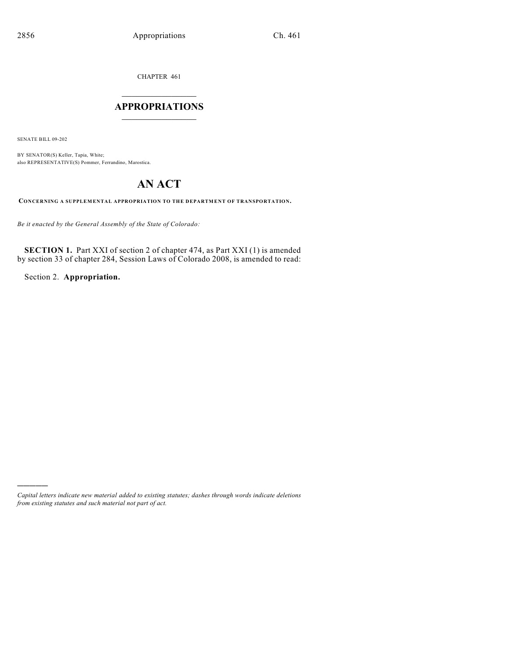CHAPTER 461

## $\mathcal{L}_\text{max}$  . The set of the set of the set of the set of the set of the set of the set of the set of the set of the set of the set of the set of the set of the set of the set of the set of the set of the set of the set **APPROPRIATIONS**  $\_$   $\_$   $\_$   $\_$   $\_$   $\_$   $\_$   $\_$

SENATE BILL 09-202

)))))

BY SENATOR(S) Keller, Tapia, White; also REPRESENTATIVE(S) Pommer, Ferrandino, Marostica.

## **AN ACT**

**CONCERNING A SUPPLEMENTAL APPROPRIATION TO THE DEPARTMENT OF TRANSPORTATION.**

*Be it enacted by the General Assembly of the State of Colorado:*

**SECTION 1.** Part XXI of section 2 of chapter 474, as Part XXI (1) is amended by section 33 of chapter 284, Session Laws of Colorado 2008, is amended to read:

Section 2. **Appropriation.**

*Capital letters indicate new material added to existing statutes; dashes through words indicate deletions from existing statutes and such material not part of act.*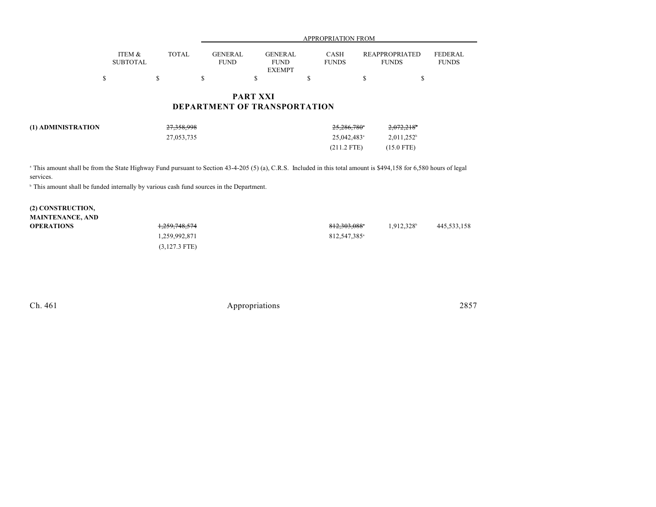|                           |                                           |    | <b>PART XXI</b>               | <b>DEPARTMENT OF TRANSPORTATION</b>                          |  |                                       |                                |
|---------------------------|-------------------------------------------|----|-------------------------------|--------------------------------------------------------------|--|---------------------------------------|--------------------------------|
| S                         |                                           | \$ | S                             | <b>EXEMPT</b>                                                |  |                                       |                                |
|                           | <b>TOTAL</b><br>ITEM &<br><b>SUBTOTAL</b> |    | <b>GENERAL</b><br><b>FUND</b> | <b>GENERAL</b><br><b>CASH</b><br><b>FUNDS</b><br><b>FUND</b> |  | <b>REAPPROPRIATED</b><br><b>FUNDS</b> | <b>FEDERAL</b><br><b>FUNDS</b> |
| <b>APPROPRIATION FROM</b> |                                           |    |                               |                                                              |  |                                       |                                |

| (1) ADMINISTRATION | <del>27,358,998</del> | 25,286,780°             | $2,072,218$ <sup>*</sup> |
|--------------------|-----------------------|-------------------------|--------------------------|
|                    | 27,053,735            | 25.042.483 <sup>a</sup> | $2,011,252^b$            |
|                    |                       | $(211.2$ FTE)           | $(15.0$ FTE)             |

<sup>a</sup> This amount shall be from the State Highway Fund pursuant to Section 43-4-205 (5) (a), C.R.S. Included in this total amount is \$494,158 for 6,580 hours of legal services.

 $^{\circ}$  This amount shall be funded internally by various cash fund sources in the Department.

## **(2) CONSTRUCTION, MAINTENANCE, AND OPERATIONS** 1,259,748,574 812,303,088 1,912,328 445,533,158 1,259,992,871 812,547,385<sup>a</sup> (3,127.3 FTE)

Ch. 461 Appropriations 2857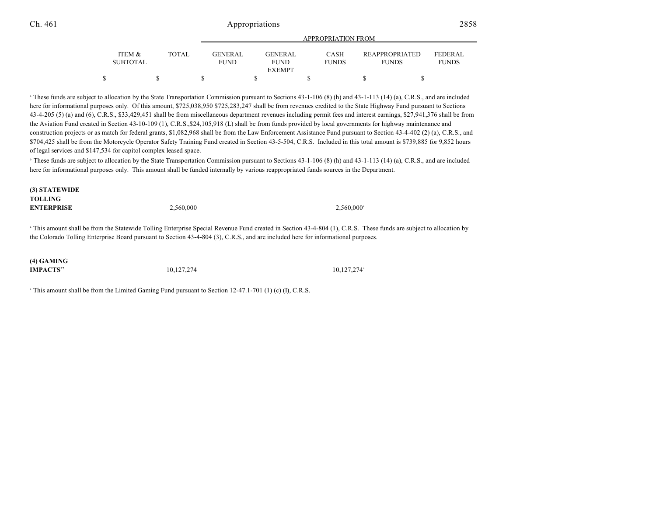## Ch. 461 Appropriations 2858

|                                      |              | APPROPRIATION FROM            |  |                               |  |                             |  |                                       |                         |
|--------------------------------------|--------------|-------------------------------|--|-------------------------------|--|-----------------------------|--|---------------------------------------|-------------------------|
| <b>ITEM &amp;</b><br><b>SUBTOTAL</b> | <b>TOTAL</b> | <b>GENERAL</b><br><b>FUND</b> |  | <b>GENERAL</b><br><b>FUND</b> |  | <b>CASH</b><br><b>FUNDS</b> |  | <b>REAPPROPRIATED</b><br><b>FUNDS</b> | FEDERAL<br><b>FUNDS</b> |
|                                      |              |                               |  | <b>EXEMPT</b>                 |  |                             |  |                                       |                         |
|                                      |              |                               |  |                               |  |                             |  |                                       |                         |

<sup>a</sup> These funds are subject to allocation by the State Transportation Commission pursuant to Sections 43-1-106 (8) (h) and 43-1-113 (14) (a), C.R.S., and are included here for informational purposes only. Of this amount,  $\frac{$725,038,950,8725,283,247,8}{521,247}$  shall be from revenues credited to the State Highway Fund pursuant to Sections 43-4-205 (5) (a) and (6), C.R.S., \$33,429,451 shall be from miscellaneous department revenues including permit fees and interest earnings, \$27,941,376 shall be from the Aviation Fund created in Section 43-10-109 (1), C.R.S.,\$24,105,918 (L) shall be from funds provided by local governments for highway maintenance and construction projects or as match for federal grants, \$1,082,968 shall be from the Law Enforcement Assistance Fund pursuant to Section 43-4-402 (2) (a), C.R.S., and \$704,425 shall be from the Motorcycle Operator Safety Training Fund created in Section 43-5-504, C.R.S. Included in this total amount is \$739,885 for 9,852 hours of legal services and \$147,534 for capitol complex leased space.

<sup>b</sup> These funds are subject to allocation by the State Transportation Commission pursuant to Sections 43-1-106 (8) (h) and 43-1-113 (14) (a), C.R.S., and are included here for informational purposes only. This amount shall be funded internally by various reappropriated funds sources in the Department.

**(3) STATEWIDE TOLLING ENTERPRISE** 2,560,000 2,560,000 2,560,000

<sup>a</sup> This amount shall be from the Statewide Tolling Enterprise Special Revenue Fund created in Section 43-4-804 (1), C.R.S. These funds are subject to allocation by the Colorado Tolling Enterprise Board pursuant to Section 43-4-804 (3), C.R.S., and are included here for informational purposes.

**(4) GAMING**

**IMPACTS**<sup>57</sup> 10,127,274 10,127,274 10,127,274

 $\degree$  This amount shall be from the Limited Gaming Fund pursuant to Section 12-47.1-701 (1) (c) (I), C.R.S.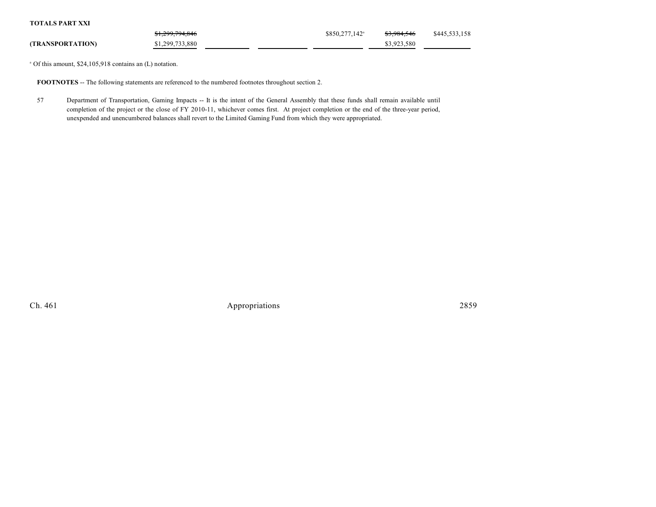**TOTALS PART XXI**

|                         | \$1,299,794,846 | \$850,277,142 <sup>a</sup> | <del>\$3,984,546</del> | \$445,533,158 |
|-------------------------|-----------------|----------------------------|------------------------|---------------|
| <b>(TRANSPORTATION)</b> | \$1,299,733,880 |                            | \$3,923,580            |               |

 $^{\circ}$  Of this amount, \$24,105,918 contains an (L) notation.

**FOOTNOTES** -- The following statements are referenced to the numbered footnotes throughout section 2.

57 Department of Transportation, Gaming Impacts -- It is the intent of the General Assembly that these funds shall remain available until completion of the project or the close of FY 2010-11, whichever comes first. At project completion or the end of the three-year period, unexpended and unencumbered balances shall revert to the Limited Gaming Fund from which they were appropriated.

Ch. 461 Appropriations 2859